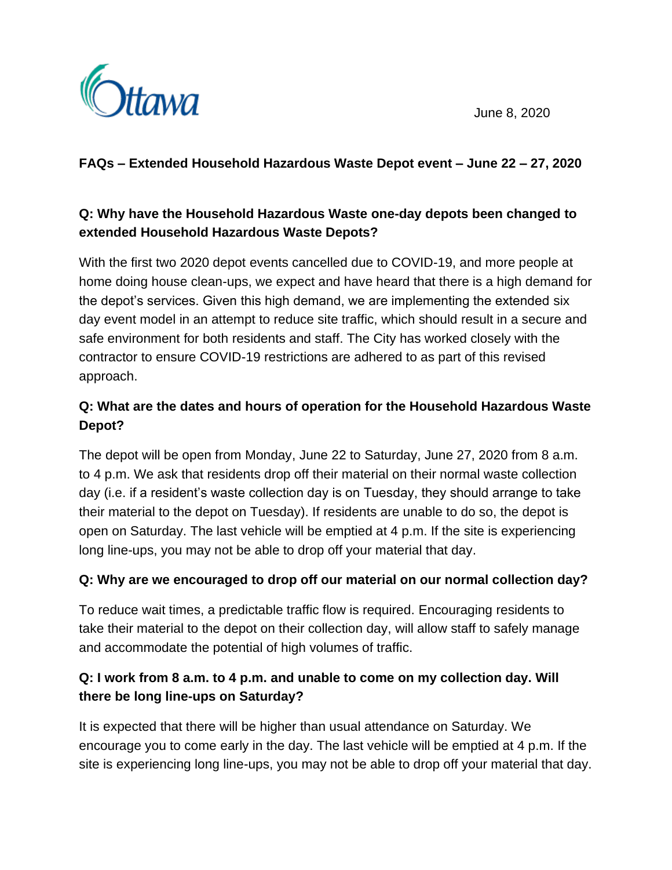



### **FAQs – Extended Household Hazardous Waste Depot event – June 22 – 27, 2020**

## **Q: Why have the Household Hazardous Waste one-day depots been changed to extended Household Hazardous Waste Depots?**

With the first two 2020 depot events cancelled due to COVID-19, and more people at home doing house clean-ups, we expect and have heard that there is a high demand for the depot's services. Given this high demand, we are implementing the extended six day event model in an attempt to reduce site traffic, which should result in a secure and safe environment for both residents and staff. The City has worked closely with the contractor to ensure COVID-19 restrictions are adhered to as part of this revised approach.

# **Q: What are the dates and hours of operation for the Household Hazardous Waste Depot?**

The depot will be open from Monday, June 22 to Saturday, June 27, 2020 from 8 a.m. to 4 p.m. We ask that residents drop off their material on their normal waste collection day (i.e. if a resident's waste collection day is on Tuesday, they should arrange to take their material to the depot on Tuesday). If residents are unable to do so, the depot is open on Saturday. The last vehicle will be emptied at 4 p.m. If the site is experiencing long line-ups, you may not be able to drop off your material that day.

### **Q: Why are we encouraged to drop off our material on our normal collection day?**

To reduce wait times, a predictable traffic flow is required. Encouraging residents to take their material to the depot on their collection day, will allow staff to safely manage and accommodate the potential of high volumes of traffic.

## **Q: I work from 8 a.m. to 4 p.m. and unable to come on my collection day. Will there be long line-ups on Saturday?**

It is expected that there will be higher than usual attendance on Saturday. We encourage you to come early in the day. The last vehicle will be emptied at 4 p.m. If the site is experiencing long line-ups, you may not be able to drop off your material that day.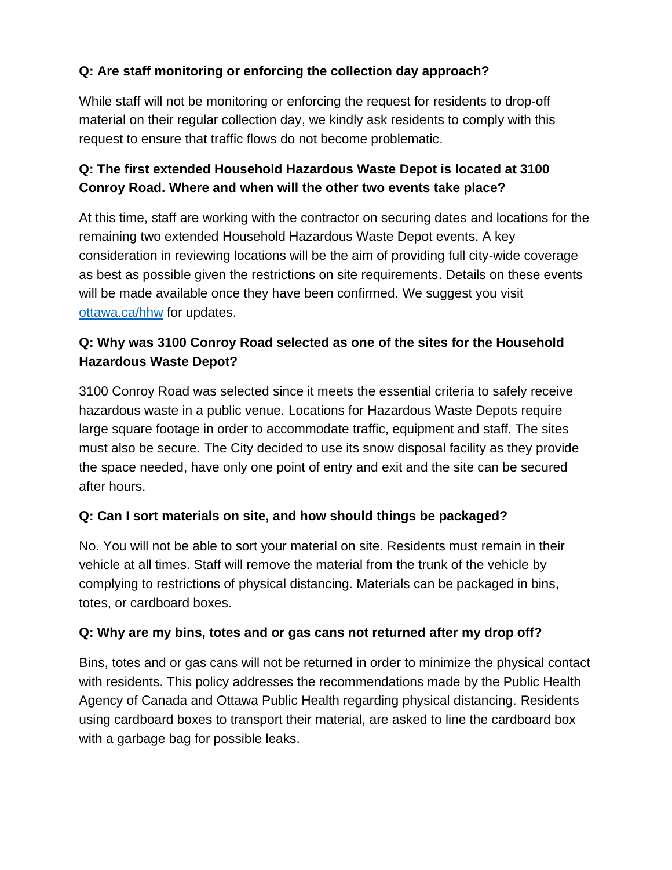## **Q: Are staff monitoring or enforcing the collection day approach?**

While staff will not be monitoring or enforcing the request for residents to drop-off material on their regular collection day, we kindly ask residents to comply with this request to ensure that traffic flows do not become problematic.

### **Q: The first extended Household Hazardous Waste Depot is located at 3100 Conroy Road. Where and when will the other two events take place?**

At this time, staff are working with the contractor on securing dates and locations for the remaining two extended Household Hazardous Waste Depot events. A key consideration in reviewing locations will be the aim of providing full city-wide coverage as best as possible given the restrictions on site requirements. Details on these events will be made available once they have been confirmed. We suggest you visit [ottawa.ca/hhw](https://ottawa.ca/en/garbage-and-recycling/hazardous-waste-and-special-items) for updates.

## **Q: Why was 3100 Conroy Road selected as one of the sites for the Household Hazardous Waste Depot?**

3100 Conroy Road was selected since it meets the essential criteria to safely receive hazardous waste in a public venue. Locations for Hazardous Waste Depots require large square footage in order to accommodate traffic, equipment and staff. The sites must also be secure. The City decided to use its snow disposal facility as they provide the space needed, have only one point of entry and exit and the site can be secured after hours.

### **Q: Can I sort materials on site, and how should things be packaged?**

No. You will not be able to sort your material on site. Residents must remain in their vehicle at all times. Staff will remove the material from the trunk of the vehicle by complying to restrictions of physical distancing. Materials can be packaged in bins, totes, or cardboard boxes.

### **Q: Why are my bins, totes and or gas cans not returned after my drop off?**

Bins, totes and or gas cans will not be returned in order to minimize the physical contact with residents. This policy addresses the recommendations made by the Public Health Agency of Canada and Ottawa Public Health regarding physical distancing. Residents using cardboard boxes to transport their material, are asked to line the cardboard box with a garbage bag for possible leaks.